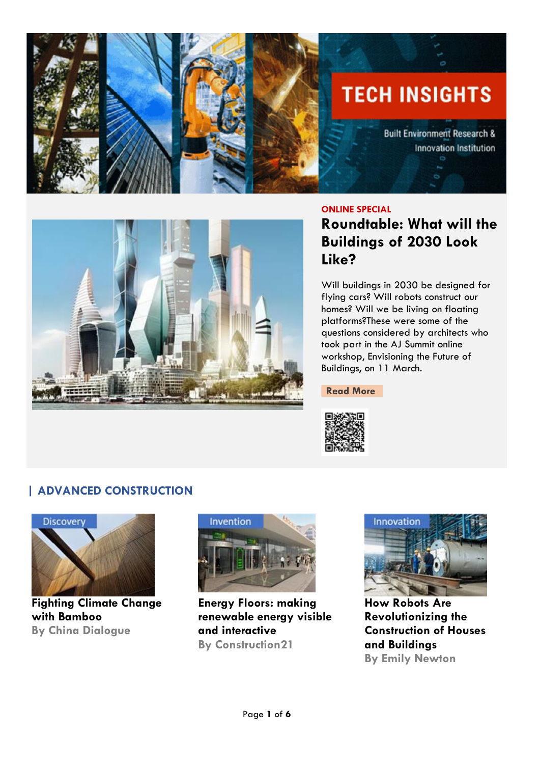



#### **ONLINE SPECIAL**

**Roundtable: What will the Buildings of 2030 Look Like?**

Will buildings in 2030 be designed for flying cars? Will robots construct our homes? Will we be living on floating platforms?These were some of the questions considered by architects who took part in the AJ Summit online workshop, Envisioning the Future of Buildings, on 11 March.

**[Read More](https://www.architectsjournal.co.uk/sponsored-content/roundtable-what-will-the-buildings-of-2030-look-like)**



### **| ADVANCED CONSTRUCTION**



**Fighting Climate Change with Bamboo By China Dialogue**



**Energy Floors: making renewable energy visible and interactive By Construction21**



**How Robots Are Revolutionizing the Construction of Houses and Buildings By Emily Newton**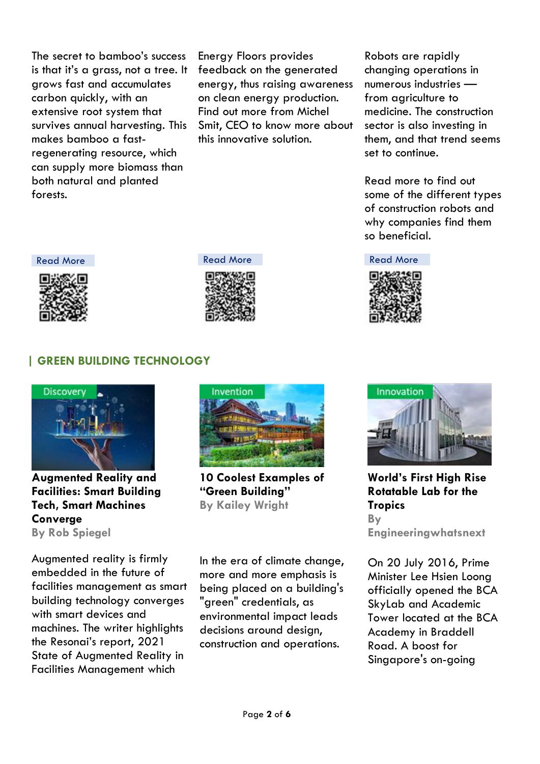The secret to bamboo's success is that it's a grass, not a tree. It grows fast and accumulates carbon quickly, with an extensive root system that survives annual harvesting. This makes bamboo a fastregenerating resource, which can supply more biomass than both natural and planted forests.

Energy Floors provides feedback on the generated energy, thus raising awareness on clean energy production. Find out more from Michel Smit, CEO to know more about this innovative solution.

Robots are rapidly changing operations in numerous industries from agriculture to medicine. The construction sector is also investing in them, and that trend seems set to continue.

Read more to find out some of the different types of construction robots and why companies find them so beneficial.

[Read More](https://www.robotshop.com/community/blog/show/how-robots-are-revolutionizing-the-construction-of-houses-and-buildings) Read More Read More Read More Read More









### **| GREEN BUILDING TECHNOLOGY**



**Augmented Reality and Facilities: Smart Building Tech, Smart Machines Converge By Rob Spiegel**

Augmented reality is firmly embedded in the future of facilities management as smart building technology converges with smart devices and machines. The writer highlights the Resonai's report, [2021](https://www.resonai.com/2021-state-of-augmented-reality-report)  [State of Augmented Reality in](https://www.resonai.com/2021-state-of-augmented-reality-report)  [Facilities Management](https://www.resonai.com/2021-state-of-augmented-reality-report) which



**10 Coolest Examples of "Green Building" By Kailey Wright** 

In the era of climate change, more and more emphasis is being placed on a building's "green" credentials, as environmental impact leads decisions around design, construction and operations.



**World's First High Rise Rotatable Lab for the Tropics By Engineeringwhatsnext**

On 20 July 2016, Prime Minister Lee Hsien Loong officially opened the BCA SkyLab and Academic Tower located at the BCA Academy in Braddell Road. A boost for Singapore's on-going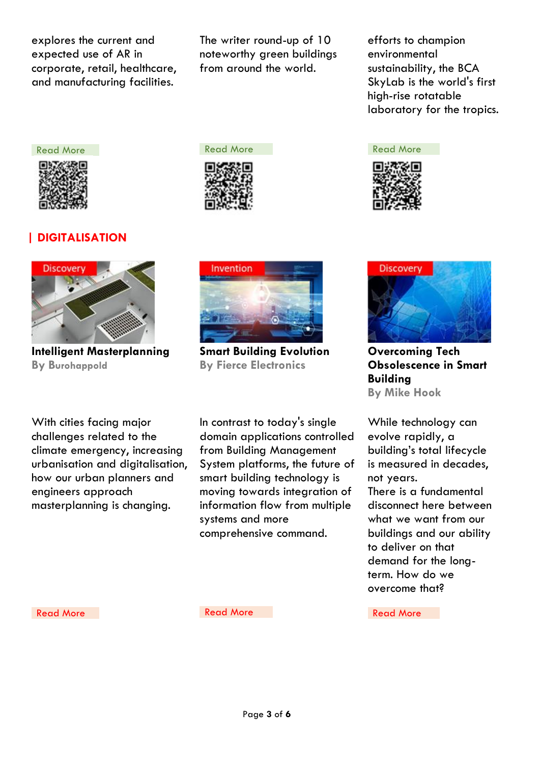explores the current and expected use of AR in corporate, retail, healthcare, and manufacturing facilities.

The writer round-up of 10 noteworthy green buildings from around the world.

efforts to champion environmental sustainability, the BCA SkyLab is the world's first high-rise rotatable laboratory for the tropics.





**Overcoming Tech Obsolescence in Smart Building By Mike Hook**

While technology can evolve rapidly, a building's total lifecycle is measured in decades, not years. There is a fundamental disconnect here between what we want from our buildings and our ability to deliver on that demand for the longterm. How do we overcome that?



# **| DIGITALISATION**



**Intelligent Masterplanning By Burohappold**

Invention

**Smart Building Evolution By Fierce Electronics**

With cities facing major challenges related to the climate emergency, increasing urbanisation and digitalisation, how our urban planners and engineers approach masterplanning is changing.

In contrast to today's single domain applications controlled from Building Management System platforms, the future of smart building technology is moving towards integration of information flow from multiple systems and more comprehensive command.

[Read More](https://www.techerati.com/features-hub/opinions/overcoming-tech-obsolescence-in-smart-buildings/) Read More Read More Read More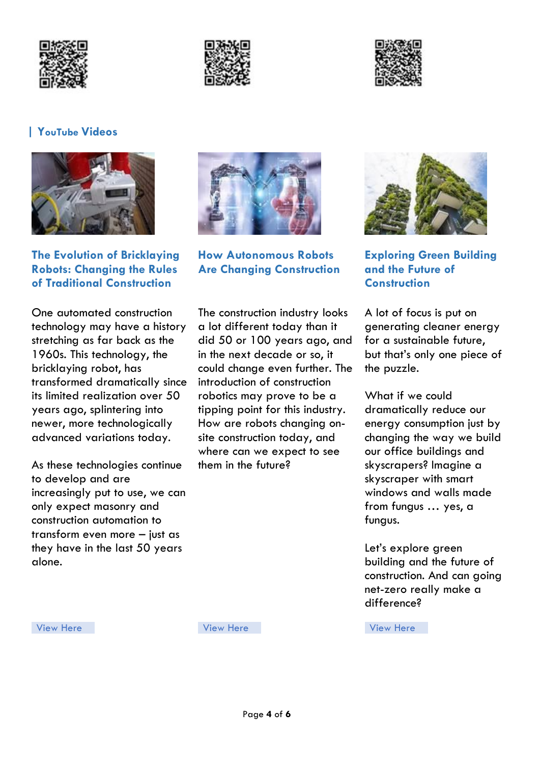





#### **| YouTube Videos**



**[The Evolution of Bricklaying](https://www.youtube.com/watch?v=4MWald1Goqk&feature=emb_title)  [Robots: Changing the Rules](https://www.youtube.com/watch?v=4MWald1Goqk&feature=emb_title)  [of Traditional Construction](https://www.youtube.com/watch?v=4MWald1Goqk&feature=emb_title)** 

One automated construction technology may have a history stretching as far back as the 1960s. This technology, the bricklaying robot, has transformed dramatically since its limited realization over 50 years ago, splintering into newer, more technologically advanced variations today.

As these technologies continue to develop and are increasingly put to use, we can only expect masonry and construction automation to transform even more – just as they have in the last 50 years alone.



**[How Autonomous Robots](https://www.youtube.com/watch?v=zBvvbOLq3t0)  [Are Changing Construction](https://www.youtube.com/watch?v=zBvvbOLq3t0)**

The construction industry looks a lot different today than it did 50 or 100 years ago, and in the next decade or so, it could change even further. The introduction of construction robotics may prove to be a tipping point for this industry. How are robots changing onsite construction today, and where can we expect to see them in the future?



**[Exploring Green Building](https://www.youtube.com/watch?v=wmoy27EZ8y0)  [and the Future of](https://www.youtube.com/watch?v=wmoy27EZ8y0)  [Construction](https://www.youtube.com/watch?v=wmoy27EZ8y0)**

A lot of focus is put on generating cleaner energy for a sustainable future, but that's only one piece of the puzzle.

What if we could dramatically reduce our energy consumption just by changing the way we build our office buildings and skyscrapers? Imagine a skyscraper with smart windows and walls made from fungus … yes, a fungus.

Let's explore green building and the future of construction. And can going net-zero really make a difference?

[View Here](https://www.youtube.com/watch?v=wmoy27EZ8y0) View Here View Here View Here View Here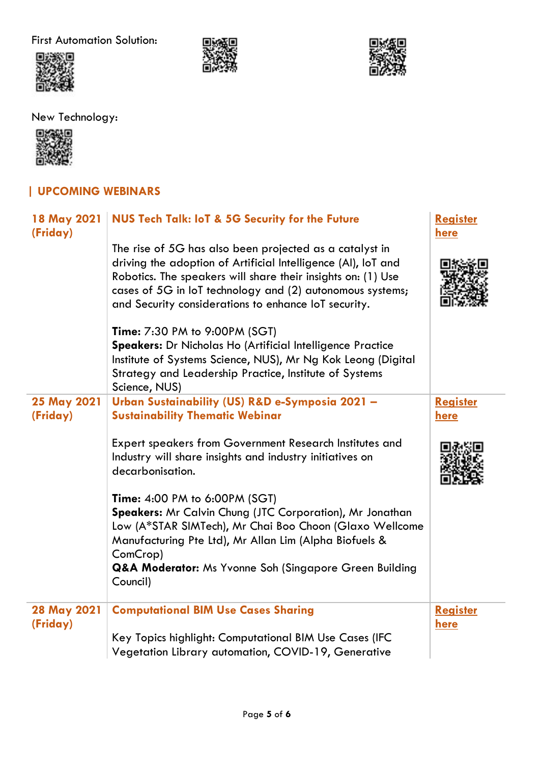First Automation Solution:







New Technology:



# **| UPCOMING WEBINARS**

| 18 May 2021<br>(Friday)        | <b>NUS Tech Talk: IoT &amp; 5G Security for the Future</b>                                                                                                                                                                                                                                                    | <b>Register</b><br>here |
|--------------------------------|---------------------------------------------------------------------------------------------------------------------------------------------------------------------------------------------------------------------------------------------------------------------------------------------------------------|-------------------------|
|                                | The rise of 5G has also been projected as a catalyst in<br>driving the adoption of Artificial Intelligence (AI), IoT and<br>Robotics. The speakers will share their insights on: (1) Use<br>cases of 5G in loT technology and (2) autonomous systems;<br>and Security considerations to enhance IoT security. |                         |
|                                | <b>Time: 7:30 PM to 9:00PM (SGT)</b><br>Speakers: Dr Nicholas Ho (Artificial Intelligence Practice<br>Institute of Systems Science, NUS), Mr Ng Kok Leong (Digital<br>Strategy and Leadership Practice, Institute of Systems<br>Science, NUS)                                                                 |                         |
| <b>25 May 2021</b><br>(Friday) | Urban Sustainability (US) R&D e-Symposia 2021 -<br><b>Sustainability Thematic Webinar</b>                                                                                                                                                                                                                     | <b>Register</b><br>here |
|                                | <b>Expert speakers from Government Research Institutes and</b><br>Industry will share insights and industry initiatives on<br>decarbonisation.                                                                                                                                                                |                         |
|                                | <b>Time: 4:00 PM to 6:00PM (SGT)</b><br>Speakers: Mr Calvin Chung (JTC Corporation), Mr Jonathan<br>Low (A*STAR SIMTech), Mr Chai Boo Choon (Glaxo Wellcome<br>Manufacturing Pte Ltd), Mr Allan Lim (Alpha Biofuels &<br>ComCrop)<br>Q&A Moderator: Ms Yvonne Soh (Singapore Green Building<br>Council)       |                         |
| 28 May 2021<br>(Friday)        | <b>Computational BIM Use Cases Sharing</b><br>Key Topics highlight: Computational BIM Use Cases (IFC<br>Vegetation Library automation, COVID-19, Generative                                                                                                                                                   | <b>Register</b><br>here |